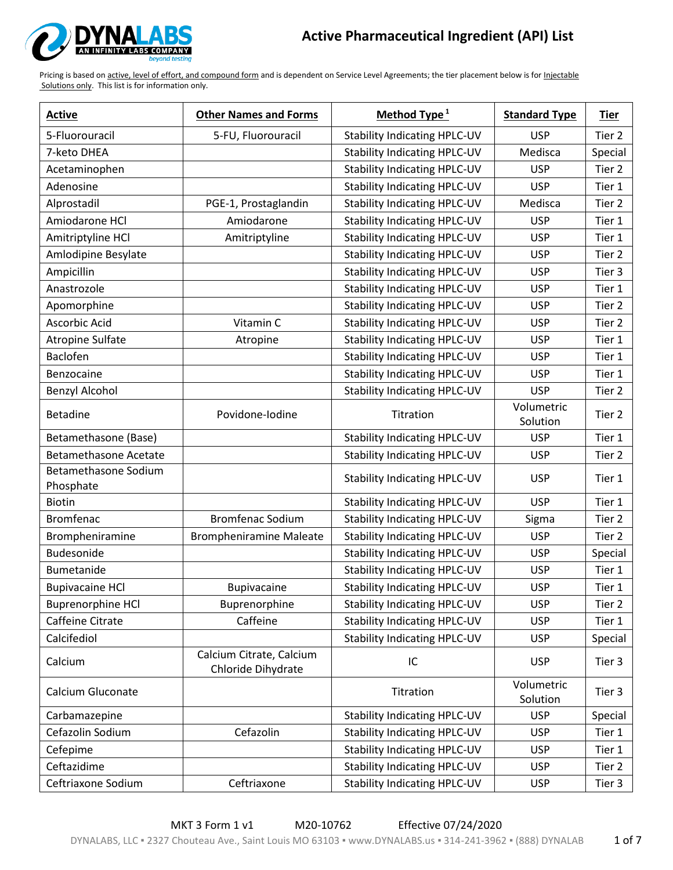

| <b>Active</b>                     | <b>Other Names and Forms</b>                   | Method Type $1$                     | <b>Standard Type</b>   | <b>Tier</b> |
|-----------------------------------|------------------------------------------------|-------------------------------------|------------------------|-------------|
| 5-Fluorouracil                    | 5-FU, Fluorouracil                             | <b>Stability Indicating HPLC-UV</b> | <b>USP</b>             | Tier 2      |
| 7-keto DHEA                       |                                                | <b>Stability Indicating HPLC-UV</b> | Medisca                | Special     |
| Acetaminophen                     |                                                | <b>Stability Indicating HPLC-UV</b> | <b>USP</b>             | Tier 2      |
| Adenosine                         |                                                | <b>Stability Indicating HPLC-UV</b> | <b>USP</b>             | Tier 1      |
| Alprostadil                       | PGE-1, Prostaglandin                           | <b>Stability Indicating HPLC-UV</b> | Medisca                | Tier 2      |
| Amiodarone HCl                    | Amiodarone                                     | <b>Stability Indicating HPLC-UV</b> | <b>USP</b>             | Tier 1      |
| Amitriptyline HCl                 | Amitriptyline                                  | <b>Stability Indicating HPLC-UV</b> | <b>USP</b>             | Tier 1      |
| Amlodipine Besylate               |                                                | <b>Stability Indicating HPLC-UV</b> | <b>USP</b>             | Tier 2      |
| Ampicillin                        |                                                | <b>Stability Indicating HPLC-UV</b> | <b>USP</b>             | Tier 3      |
| Anastrozole                       |                                                | <b>Stability Indicating HPLC-UV</b> | <b>USP</b>             | Tier 1      |
| Apomorphine                       |                                                | <b>Stability Indicating HPLC-UV</b> | <b>USP</b>             | Tier 2      |
| Ascorbic Acid                     | Vitamin C                                      | <b>Stability Indicating HPLC-UV</b> | <b>USP</b>             | Tier 2      |
| <b>Atropine Sulfate</b>           | Atropine                                       | <b>Stability Indicating HPLC-UV</b> | <b>USP</b>             | Tier 1      |
| <b>Baclofen</b>                   |                                                | <b>Stability Indicating HPLC-UV</b> | <b>USP</b>             | Tier 1      |
| Benzocaine                        |                                                | <b>Stability Indicating HPLC-UV</b> | <b>USP</b>             | Tier 1      |
| <b>Benzyl Alcohol</b>             |                                                | <b>Stability Indicating HPLC-UV</b> | <b>USP</b>             | Tier 2      |
| <b>Betadine</b>                   | Povidone-Iodine                                | Titration                           | Volumetric<br>Solution | Tier 2      |
| Betamethasone (Base)              |                                                | <b>Stability Indicating HPLC-UV</b> | <b>USP</b>             | Tier 1      |
| <b>Betamethasone Acetate</b>      |                                                | <b>Stability Indicating HPLC-UV</b> | <b>USP</b>             | Tier 2      |
| Betamethasone Sodium<br>Phosphate |                                                | <b>Stability Indicating HPLC-UV</b> | <b>USP</b>             | Tier 1      |
| <b>Biotin</b>                     |                                                | <b>Stability Indicating HPLC-UV</b> | <b>USP</b>             | Tier 1      |
| <b>Bromfenac</b>                  | <b>Bromfenac Sodium</b>                        | <b>Stability Indicating HPLC-UV</b> | Sigma                  | Tier 2      |
| Brompheniramine                   | <b>Brompheniramine Maleate</b>                 | <b>Stability Indicating HPLC-UV</b> | <b>USP</b>             | Tier 2      |
| Budesonide                        |                                                | <b>Stability Indicating HPLC-UV</b> | <b>USP</b>             | Special     |
| Bumetanide                        |                                                | <b>Stability Indicating HPLC-UV</b> | <b>USP</b>             | Tier 1      |
| <b>Bupivacaine HCI</b>            | Bupivacaine                                    | <b>Stability Indicating HPLC-UV</b> | <b>USP</b>             | Tier 1      |
| <b>Buprenorphine HCl</b>          | Buprenorphine                                  | <b>Stability Indicating HPLC-UV</b> | <b>USP</b>             | Tier 2      |
| Caffeine Citrate                  | Caffeine                                       | <b>Stability Indicating HPLC-UV</b> | <b>USP</b>             | Tier 1      |
| Calcifediol                       |                                                | <b>Stability Indicating HPLC-UV</b> | <b>USP</b>             | Special     |
| Calcium                           | Calcium Citrate, Calcium<br>Chloride Dihydrate | IC                                  | <b>USP</b>             | Tier 3      |
| Calcium Gluconate                 |                                                | Titration                           | Volumetric<br>Solution | Tier 3      |
| Carbamazepine                     |                                                | <b>Stability Indicating HPLC-UV</b> | <b>USP</b>             | Special     |
| Cefazolin Sodium                  | Cefazolin                                      | <b>Stability Indicating HPLC-UV</b> | <b>USP</b>             | Tier 1      |
| Cefepime                          |                                                | <b>Stability Indicating HPLC-UV</b> | <b>USP</b>             | Tier 1      |
| Ceftazidime                       |                                                | <b>Stability Indicating HPLC-UV</b> | <b>USP</b>             | Tier 2      |
| Ceftriaxone Sodium                | Ceftriaxone                                    | <b>Stability Indicating HPLC-UV</b> | <b>USP</b>             | Tier 3      |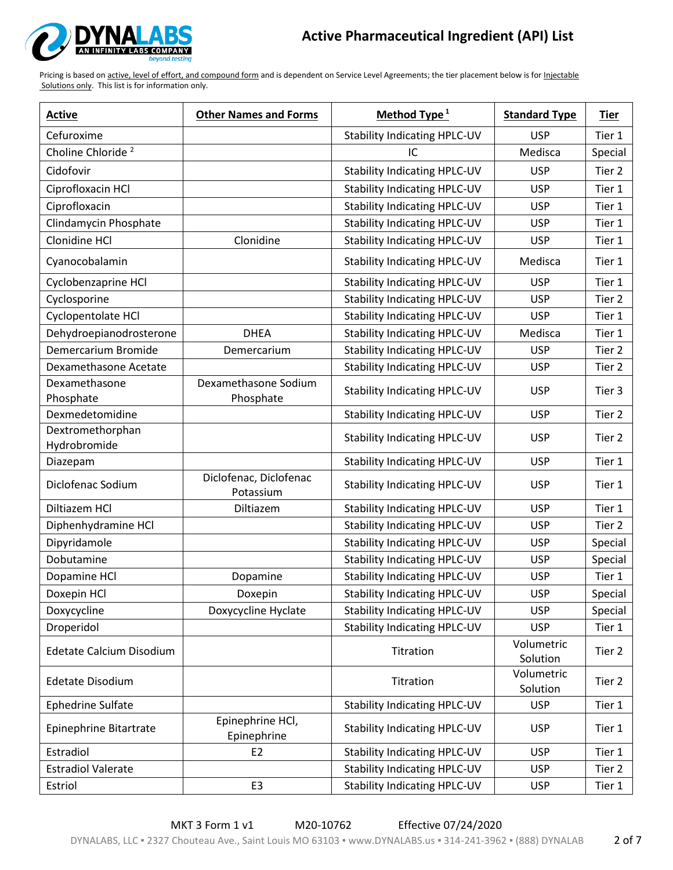

| <b>Active</b>                    | <b>Other Names and Forms</b>        | Method Type $1$                     | <b>Standard Type</b>   | Tier    |
|----------------------------------|-------------------------------------|-------------------------------------|------------------------|---------|
| Cefuroxime                       |                                     | <b>Stability Indicating HPLC-UV</b> | <b>USP</b>             | Tier 1  |
| Choline Chloride <sup>2</sup>    |                                     | IC                                  | Medisca                | Special |
| Cidofovir                        |                                     | <b>Stability Indicating HPLC-UV</b> | <b>USP</b>             | Tier 2  |
| Ciprofloxacin HCl                |                                     | <b>Stability Indicating HPLC-UV</b> | <b>USP</b>             | Tier 1  |
| Ciprofloxacin                    |                                     | <b>Stability Indicating HPLC-UV</b> | <b>USP</b>             | Tier 1  |
| Clindamycin Phosphate            |                                     | <b>Stability Indicating HPLC-UV</b> | <b>USP</b>             | Tier 1  |
| Clonidine HCl                    | Clonidine                           | <b>Stability Indicating HPLC-UV</b> | <b>USP</b>             | Tier 1  |
| Cyanocobalamin                   |                                     | <b>Stability Indicating HPLC-UV</b> | Medisca                | Tier 1  |
| Cyclobenzaprine HCl              |                                     | Stability Indicating HPLC-UV        | <b>USP</b>             | Tier 1  |
| Cyclosporine                     |                                     | <b>Stability Indicating HPLC-UV</b> | <b>USP</b>             | Tier 2  |
| Cyclopentolate HCl               |                                     | <b>Stability Indicating HPLC-UV</b> | <b>USP</b>             | Tier 1  |
| Dehydroepianodrosterone          | <b>DHEA</b>                         | <b>Stability Indicating HPLC-UV</b> | Medisca                | Tier 1  |
| Demercarium Bromide              | Demercarium                         | <b>Stability Indicating HPLC-UV</b> | <b>USP</b>             | Tier 2  |
| Dexamethasone Acetate            |                                     | <b>Stability Indicating HPLC-UV</b> | <b>USP</b>             | Tier 2  |
| Dexamethasone<br>Phosphate       | Dexamethasone Sodium<br>Phosphate   | <b>Stability Indicating HPLC-UV</b> | <b>USP</b>             | Tier 3  |
| Dexmedetomidine                  |                                     | <b>Stability Indicating HPLC-UV</b> | <b>USP</b>             | Tier 2  |
| Dextromethorphan<br>Hydrobromide |                                     | <b>Stability Indicating HPLC-UV</b> | <b>USP</b>             | Tier 2  |
| Diazepam                         |                                     | <b>Stability Indicating HPLC-UV</b> | <b>USP</b>             | Tier 1  |
| Diclofenac Sodium                | Diclofenac, Diclofenac<br>Potassium | <b>Stability Indicating HPLC-UV</b> | <b>USP</b>             | Tier 1  |
| Diltiazem HCl                    | Diltiazem                           | <b>Stability Indicating HPLC-UV</b> | <b>USP</b>             | Tier 1  |
| Diphenhydramine HCl              |                                     | <b>Stability Indicating HPLC-UV</b> | <b>USP</b>             | Tier 2  |
| Dipyridamole                     |                                     | <b>Stability Indicating HPLC-UV</b> | <b>USP</b>             | Special |
| Dobutamine                       |                                     | <b>Stability Indicating HPLC-UV</b> | <b>USP</b>             | Special |
| Dopamine HCl                     | Dopamine                            | <b>Stability Indicating HPLC-UV</b> | <b>USP</b>             | Tier 1  |
| Doxepin HCl                      | Doxepin                             | <b>Stability Indicating HPLC-UV</b> | <b>USP</b>             | Special |
| Doxycycline                      | Doxycycline Hyclate                 | <b>Stability Indicating HPLC-UV</b> | <b>USP</b>             | Special |
| Droperidol                       |                                     | <b>Stability Indicating HPLC-UV</b> | <b>USP</b>             | Tier 1  |
| Edetate Calcium Disodium         |                                     | Titration                           | Volumetric<br>Solution | Tier 2  |
| <b>Edetate Disodium</b>          |                                     | Titration                           | Volumetric<br>Solution | Tier 2  |
| <b>Ephedrine Sulfate</b>         |                                     | <b>Stability Indicating HPLC-UV</b> | <b>USP</b>             | Tier 1  |
| Epinephrine Bitartrate           | Epinephrine HCl,<br>Epinephrine     | <b>Stability Indicating HPLC-UV</b> | <b>USP</b>             | Tier 1  |
| Estradiol                        | E <sub>2</sub>                      | <b>Stability Indicating HPLC-UV</b> | <b>USP</b>             | Tier 1  |
| <b>Estradiol Valerate</b>        |                                     | <b>Stability Indicating HPLC-UV</b> | <b>USP</b>             | Tier 2  |
| Estriol                          | E <sub>3</sub>                      | <b>Stability Indicating HPLC-UV</b> | <b>USP</b>             | Tier 1  |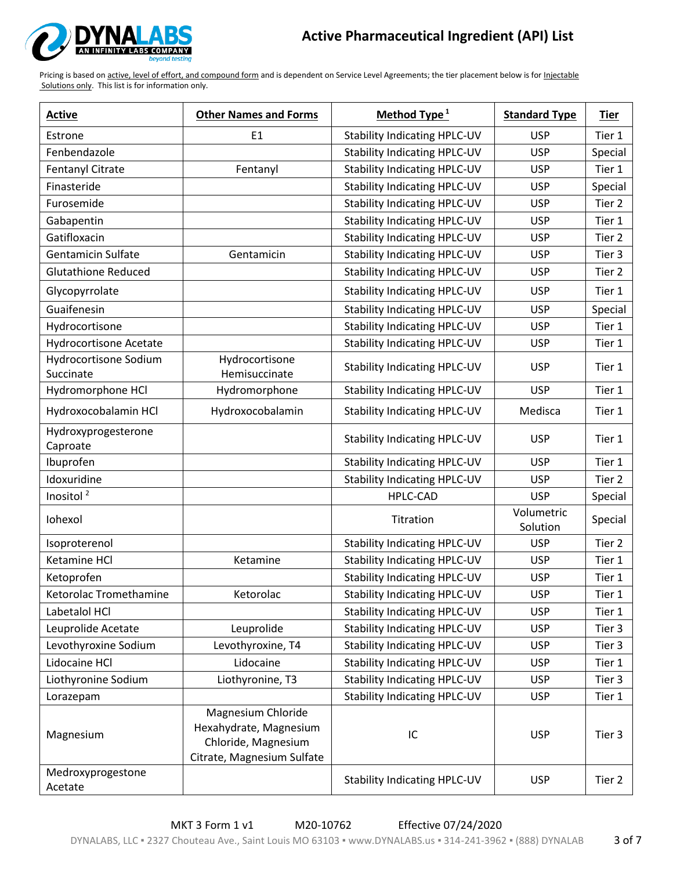

| <b>Active</b>                      | <b>Other Names and Forms</b>                                                                      | Method Type <sup>1</sup>            | <b>Standard Type</b>   | Tier    |
|------------------------------------|---------------------------------------------------------------------------------------------------|-------------------------------------|------------------------|---------|
| Estrone                            | E <sub>1</sub>                                                                                    | <b>Stability Indicating HPLC-UV</b> | <b>USP</b>             | Tier 1  |
| Fenbendazole                       |                                                                                                   | <b>Stability Indicating HPLC-UV</b> | <b>USP</b>             | Special |
| Fentanyl Citrate                   | Fentanyl                                                                                          | <b>Stability Indicating HPLC-UV</b> | <b>USP</b>             | Tier 1  |
| Finasteride                        |                                                                                                   | <b>Stability Indicating HPLC-UV</b> | <b>USP</b>             | Special |
| Furosemide                         |                                                                                                   | <b>Stability Indicating HPLC-UV</b> | <b>USP</b>             | Tier 2  |
| Gabapentin                         |                                                                                                   | <b>Stability Indicating HPLC-UV</b> | <b>USP</b>             | Tier 1  |
| Gatifloxacin                       |                                                                                                   | <b>Stability Indicating HPLC-UV</b> | <b>USP</b>             | Tier 2  |
| <b>Gentamicin Sulfate</b>          | Gentamicin                                                                                        | <b>Stability Indicating HPLC-UV</b> | <b>USP</b>             | Tier 3  |
| <b>Glutathione Reduced</b>         |                                                                                                   | <b>Stability Indicating HPLC-UV</b> | <b>USP</b>             | Tier 2  |
| Glycopyrrolate                     |                                                                                                   | <b>Stability Indicating HPLC-UV</b> | <b>USP</b>             | Tier 1  |
| Guaifenesin                        |                                                                                                   | <b>Stability Indicating HPLC-UV</b> | <b>USP</b>             | Special |
| Hydrocortisone                     |                                                                                                   | <b>Stability Indicating HPLC-UV</b> | <b>USP</b>             | Tier 1  |
| <b>Hydrocortisone Acetate</b>      |                                                                                                   | <b>Stability Indicating HPLC-UV</b> | <b>USP</b>             | Tier 1  |
| Hydrocortisone Sodium<br>Succinate | Hydrocortisone<br>Hemisuccinate                                                                   | <b>Stability Indicating HPLC-UV</b> | <b>USP</b>             | Tier 1  |
| Hydromorphone HCl                  | Hydromorphone                                                                                     | <b>Stability Indicating HPLC-UV</b> | <b>USP</b>             | Tier 1  |
| Hydroxocobalamin HCl               | Hydroxocobalamin                                                                                  | <b>Stability Indicating HPLC-UV</b> | Medisca                | Tier 1  |
| Hydroxyprogesterone<br>Caproate    |                                                                                                   | <b>Stability Indicating HPLC-UV</b> | <b>USP</b>             | Tier 1  |
| Ibuprofen                          |                                                                                                   | <b>Stability Indicating HPLC-UV</b> | <b>USP</b>             | Tier 1  |
| Idoxuridine                        |                                                                                                   | <b>Stability Indicating HPLC-UV</b> | <b>USP</b>             | Tier 2  |
| Inositol <sup>2</sup>              |                                                                                                   | <b>HPLC-CAD</b>                     | <b>USP</b>             | Special |
| Iohexol                            |                                                                                                   | Titration                           | Volumetric<br>Solution | Special |
| Isoproterenol                      |                                                                                                   | <b>Stability Indicating HPLC-UV</b> | <b>USP</b>             | Tier 2  |
| Ketamine HCl                       | Ketamine                                                                                          | <b>Stability Indicating HPLC-UV</b> | <b>USP</b>             | Tier 1  |
| Ketoprofen                         |                                                                                                   | <b>Stability Indicating HPLC-UV</b> | <b>USP</b>             | Tier 1  |
| Ketorolac Tromethamine             | Ketorolac                                                                                         | <b>Stability Indicating HPLC-UV</b> | <b>USP</b>             | Tier 1  |
| Labetalol HCl                      |                                                                                                   | <b>Stability Indicating HPLC-UV</b> | <b>USP</b>             | Tier 1  |
| Leuprolide Acetate                 | Leuprolide                                                                                        | Stability Indicating HPLC-UV        | <b>USP</b>             | Tier 3  |
| Levothyroxine Sodium               | Levothyroxine, T4                                                                                 | <b>Stability Indicating HPLC-UV</b> | <b>USP</b>             | Tier 3  |
| Lidocaine HCl                      | Lidocaine                                                                                         | <b>Stability Indicating HPLC-UV</b> | <b>USP</b>             | Tier 1  |
| Liothyronine Sodium                | Liothyronine, T3                                                                                  | <b>Stability Indicating HPLC-UV</b> | <b>USP</b>             | Tier 3  |
| Lorazepam                          |                                                                                                   | <b>Stability Indicating HPLC-UV</b> | <b>USP</b>             | Tier 1  |
| Magnesium                          | Magnesium Chloride<br>Hexahydrate, Magnesium<br>Chloride, Magnesium<br>Citrate, Magnesium Sulfate | IC                                  | <b>USP</b>             | Tier 3  |
| Medroxyprogestone<br>Acetate       |                                                                                                   | <b>Stability Indicating HPLC-UV</b> | <b>USP</b>             | Tier 2  |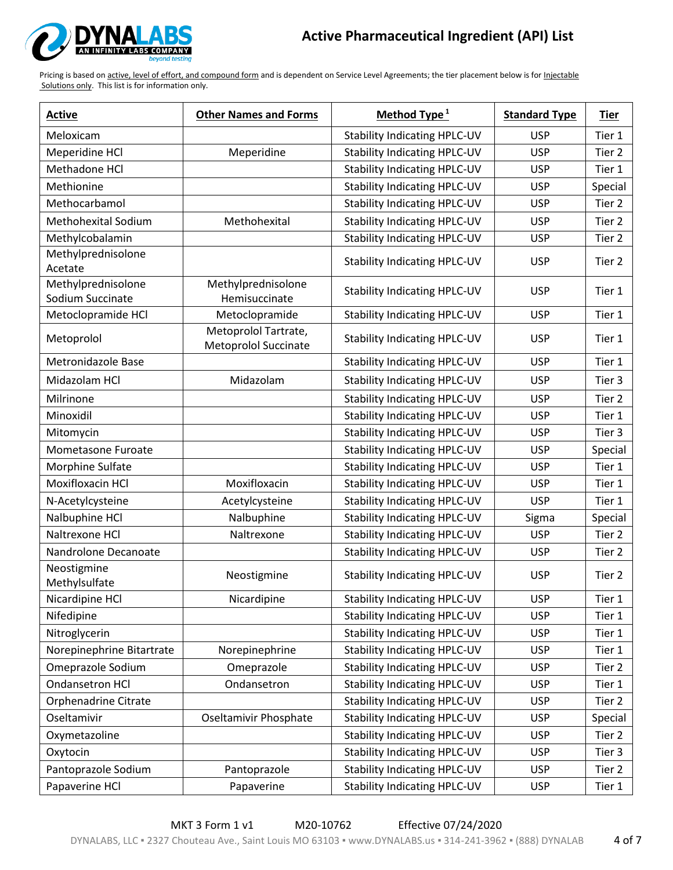

| <b>Active</b>                          | <b>Other Names and Forms</b>                        | Method Type <sup>1</sup>            | <b>Standard Type</b> | <b>Tier</b> |
|----------------------------------------|-----------------------------------------------------|-------------------------------------|----------------------|-------------|
| Meloxicam                              |                                                     | <b>Stability Indicating HPLC-UV</b> | <b>USP</b>           | Tier 1      |
| Meperidine HCl                         | Meperidine                                          | <b>Stability Indicating HPLC-UV</b> | <b>USP</b>           | Tier 2      |
| Methadone HCl                          |                                                     | <b>Stability Indicating HPLC-UV</b> | <b>USP</b>           | Tier 1      |
| Methionine                             |                                                     | <b>Stability Indicating HPLC-UV</b> | <b>USP</b>           | Special     |
| Methocarbamol                          |                                                     | <b>Stability Indicating HPLC-UV</b> | <b>USP</b>           | Tier 2      |
| <b>Methohexital Sodium</b>             | Methohexital                                        | <b>Stability Indicating HPLC-UV</b> | <b>USP</b>           | Tier 2      |
| Methylcobalamin                        |                                                     | <b>Stability Indicating HPLC-UV</b> | <b>USP</b>           | Tier 2      |
| Methylprednisolone<br>Acetate          |                                                     | <b>Stability Indicating HPLC-UV</b> | <b>USP</b>           | Tier 2      |
| Methylprednisolone<br>Sodium Succinate | Methylprednisolone<br>Hemisuccinate                 | <b>Stability Indicating HPLC-UV</b> | <b>USP</b>           | Tier 1      |
| Metoclopramide HCl                     | Metoclopramide                                      | <b>Stability Indicating HPLC-UV</b> | <b>USP</b>           | Tier 1      |
| Metoprolol                             | Metoprolol Tartrate,<br><b>Metoprolol Succinate</b> | <b>Stability Indicating HPLC-UV</b> | <b>USP</b>           | Tier 1      |
| Metronidazole Base                     |                                                     | Stability Indicating HPLC-UV        | <b>USP</b>           | Tier 1      |
| Midazolam HCl                          | Midazolam                                           | <b>Stability Indicating HPLC-UV</b> | <b>USP</b>           | Tier 3      |
| Milrinone                              |                                                     | <b>Stability Indicating HPLC-UV</b> | <b>USP</b>           | Tier 2      |
| Minoxidil                              |                                                     | <b>Stability Indicating HPLC-UV</b> | <b>USP</b>           | Tier 1      |
| Mitomycin                              |                                                     | <b>Stability Indicating HPLC-UV</b> | <b>USP</b>           | Tier 3      |
| Mometasone Furoate                     |                                                     | <b>Stability Indicating HPLC-UV</b> | <b>USP</b>           | Special     |
| Morphine Sulfate                       |                                                     | <b>Stability Indicating HPLC-UV</b> | <b>USP</b>           | Tier 1      |
| Moxifloxacin HCl                       | Moxifloxacin                                        | <b>Stability Indicating HPLC-UV</b> | <b>USP</b>           | Tier 1      |
| N-Acetylcysteine                       | Acetylcysteine                                      | <b>Stability Indicating HPLC-UV</b> | <b>USP</b>           | Tier 1      |
| Nalbuphine HCl                         | Nalbuphine                                          | <b>Stability Indicating HPLC-UV</b> | Sigma                | Special     |
| Naltrexone HCl                         | Naltrexone                                          | <b>Stability Indicating HPLC-UV</b> | <b>USP</b>           | Tier 2      |
| Nandrolone Decanoate                   |                                                     | <b>Stability Indicating HPLC-UV</b> | <b>USP</b>           | Tier 2      |
| Neostigmine<br>Methylsulfate           | Neostigmine                                         | <b>Stability Indicating HPLC-UV</b> | <b>USP</b>           | Tier 2      |
| Nicardipine HCl                        | Nicardipine                                         | <b>Stability Indicating HPLC-UV</b> | <b>USP</b>           | Tier 1      |
| Nifedipine                             |                                                     | <b>Stability Indicating HPLC-UV</b> | <b>USP</b>           | Tier 1      |
| Nitroglycerin                          |                                                     | <b>Stability Indicating HPLC-UV</b> | <b>USP</b>           | Tier 1      |
| Norepinephrine Bitartrate              | Norepinephrine                                      | <b>Stability Indicating HPLC-UV</b> | <b>USP</b>           | Tier 1      |
| Omeprazole Sodium                      | Omeprazole                                          | <b>Stability Indicating HPLC-UV</b> | <b>USP</b>           | Tier 2      |
| Ondansetron HCl                        | Ondansetron                                         | <b>Stability Indicating HPLC-UV</b> | <b>USP</b>           | Tier 1      |
| Orphenadrine Citrate                   |                                                     | <b>Stability Indicating HPLC-UV</b> | <b>USP</b>           | Tier 2      |
| Oseltamivir                            | Oseltamivir Phosphate                               | <b>Stability Indicating HPLC-UV</b> | <b>USP</b>           | Special     |
| Oxymetazoline                          |                                                     | <b>Stability Indicating HPLC-UV</b> | <b>USP</b>           | Tier 2      |
| Oxytocin                               |                                                     | <b>Stability Indicating HPLC-UV</b> | <b>USP</b>           | Tier 3      |
| Pantoprazole Sodium                    | Pantoprazole                                        | <b>Stability Indicating HPLC-UV</b> | <b>USP</b>           | Tier 2      |
| Papaverine HCl                         | Papaverine                                          | <b>Stability Indicating HPLC-UV</b> | <b>USP</b>           | Tier 1      |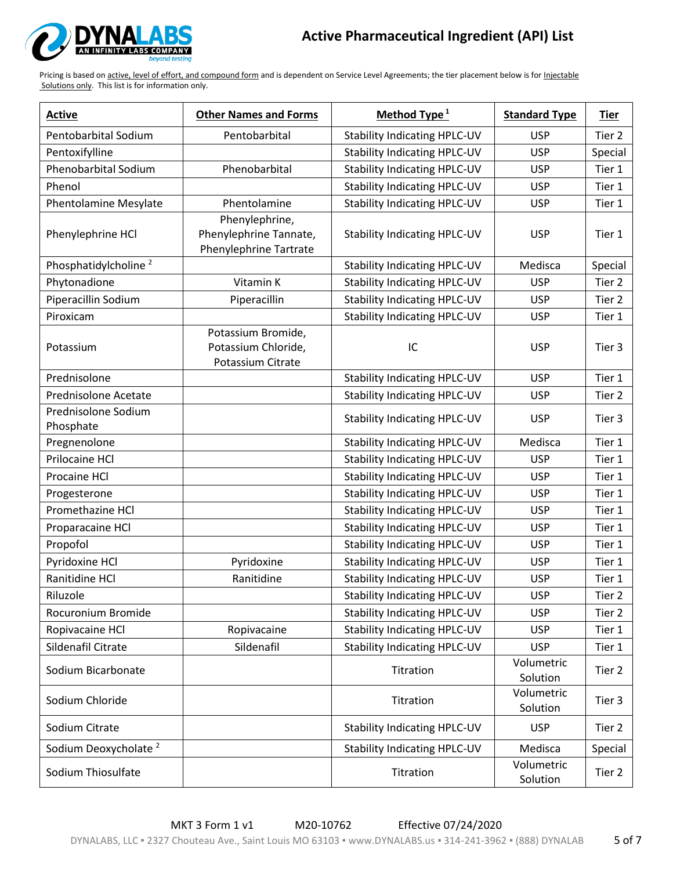

| <b>Active</b>                    | <b>Other Names and Forms</b>                                       | Method Type $1$                     | <b>Standard Type</b>   | <b>Tier</b>       |
|----------------------------------|--------------------------------------------------------------------|-------------------------------------|------------------------|-------------------|
| Pentobarbital Sodium             | Pentobarbital                                                      | <b>Stability Indicating HPLC-UV</b> | <b>USP</b>             | Tier 2            |
| Pentoxifylline                   |                                                                    | <b>Stability Indicating HPLC-UV</b> | <b>USP</b>             | Special           |
| Phenobarbital Sodium             | Phenobarbital                                                      | <b>Stability Indicating HPLC-UV</b> | <b>USP</b>             | Tier 1            |
| Phenol                           |                                                                    | <b>Stability Indicating HPLC-UV</b> | <b>USP</b>             | Tier 1            |
| <b>Phentolamine Mesylate</b>     | Phentolamine                                                       | <b>Stability Indicating HPLC-UV</b> | <b>USP</b>             | Tier 1            |
| Phenylephrine HCl                | Phenylephrine,<br>Phenylephrine Tannate,<br>Phenylephrine Tartrate | <b>Stability Indicating HPLC-UV</b> | <b>USP</b>             | Tier 1            |
| Phosphatidylcholine <sup>2</sup> |                                                                    | <b>Stability Indicating HPLC-UV</b> | Medisca                | Special           |
| Phytonadione                     | Vitamin K                                                          | <b>Stability Indicating HPLC-UV</b> | <b>USP</b>             | Tier 2            |
| Piperacillin Sodium              | Piperacillin                                                       | <b>Stability Indicating HPLC-UV</b> | <b>USP</b>             | Tier 2            |
| Piroxicam                        |                                                                    | <b>Stability Indicating HPLC-UV</b> | <b>USP</b>             | Tier 1            |
| Potassium                        | Potassium Bromide,<br>Potassium Chloride,<br>Potassium Citrate     | IC                                  | <b>USP</b>             | Tier 3            |
| Prednisolone                     |                                                                    | <b>Stability Indicating HPLC-UV</b> | <b>USP</b>             | Tier 1            |
| Prednisolone Acetate             |                                                                    | <b>Stability Indicating HPLC-UV</b> | <b>USP</b>             | Tier <sub>2</sub> |
| Prednisolone Sodium<br>Phosphate |                                                                    | <b>Stability Indicating HPLC-UV</b> | <b>USP</b>             | Tier 3            |
| Pregnenolone                     |                                                                    | <b>Stability Indicating HPLC-UV</b> | Medisca                | Tier 1            |
| Prilocaine HCl                   |                                                                    | <b>Stability Indicating HPLC-UV</b> | <b>USP</b>             | Tier 1            |
| Procaine HCl                     |                                                                    | <b>Stability Indicating HPLC-UV</b> | <b>USP</b>             | Tier 1            |
| Progesterone                     |                                                                    | <b>Stability Indicating HPLC-UV</b> | <b>USP</b>             | Tier 1            |
| Promethazine HCl                 |                                                                    | <b>Stability Indicating HPLC-UV</b> | <b>USP</b>             | Tier 1            |
| Proparacaine HCl                 |                                                                    | <b>Stability Indicating HPLC-UV</b> | <b>USP</b>             | Tier 1            |
| Propofol                         |                                                                    | <b>Stability Indicating HPLC-UV</b> | <b>USP</b>             | Tier 1            |
| Pyridoxine HCl                   | Pyridoxine                                                         | <b>Stability Indicating HPLC-UV</b> | <b>USP</b>             | Tier 1            |
| Ranitidine HCl                   | Ranitidine                                                         | <b>Stability Indicating HPLC-UV</b> | <b>USP</b>             | Tier 1            |
| Riluzole                         |                                                                    | <b>Stability Indicating HPLC-UV</b> | <b>USP</b>             | Tier 2            |
| Rocuronium Bromide               |                                                                    | <b>Stability Indicating HPLC-UV</b> | <b>USP</b>             | Tier 2            |
| Ropivacaine HCl                  | Ropivacaine                                                        | Stability Indicating HPLC-UV        | <b>USP</b>             | Tier 1            |
| Sildenafil Citrate               | Sildenafil                                                         | <b>Stability Indicating HPLC-UV</b> | <b>USP</b>             | Tier 1            |
| Sodium Bicarbonate               |                                                                    | Titration                           | Volumetric<br>Solution | Tier 2            |
| Sodium Chloride                  |                                                                    | Titration                           | Volumetric<br>Solution | Tier 3            |
| Sodium Citrate                   |                                                                    | <b>Stability Indicating HPLC-UV</b> | <b>USP</b>             | Tier 2            |
| Sodium Deoxycholate <sup>2</sup> |                                                                    | <b>Stability Indicating HPLC-UV</b> | Medisca                | Special           |
| Sodium Thiosulfate               |                                                                    | Titration                           | Volumetric<br>Solution | Tier 2            |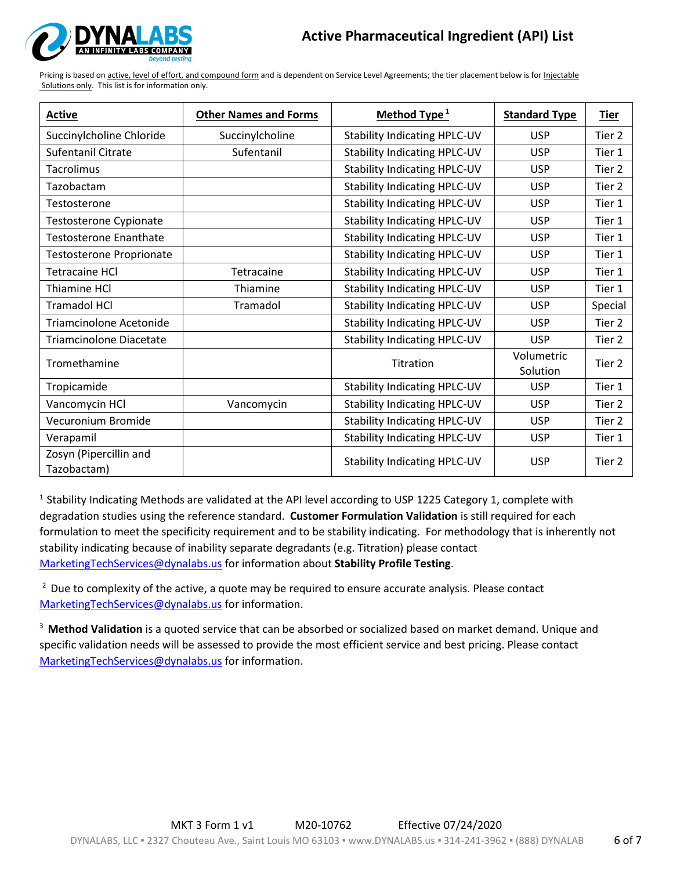

Pricing is based on active, level of effort, and compound form and is dependent on Service Level Agreements; the tier placement below is for Injectable Solutions only. This list is for information only.

| <b>Active</b>                         | <b>Other Names and Forms</b> | Method Type <sup>1</sup>            | <b>Standard Type</b>   | <u>Tier</u>       |
|---------------------------------------|------------------------------|-------------------------------------|------------------------|-------------------|
| Succinylcholine Chloride              | Succinylcholine              | <b>Stability Indicating HPLC-UV</b> | <b>USP</b>             | Tier 2            |
| <b>Sufentanil Citrate</b>             | Sufentanil                   | <b>Stability Indicating HPLC-UV</b> | <b>USP</b>             | Tier 1            |
| <b>Tacrolimus</b>                     |                              | <b>Stability Indicating HPLC-UV</b> | <b>USP</b>             | Tier 2            |
| Tazobactam                            |                              | <b>Stability Indicating HPLC-UV</b> | <b>USP</b>             | Tier 2            |
| Testosterone                          |                              | <b>Stability Indicating HPLC-UV</b> | <b>USP</b>             | Tier 1            |
| Testosterone Cypionate                |                              | <b>Stability Indicating HPLC-UV</b> | <b>USP</b>             | Tier 1            |
| <b>Testosterone Enanthate</b>         |                              | <b>Stability Indicating HPLC-UV</b> | <b>USP</b>             | Tier 1            |
| Testosterone Proprionate              |                              | <b>Stability Indicating HPLC-UV</b> | <b>USP</b>             | Tier 1            |
| <b>Tetracaine HCI</b>                 | Tetracaine                   | <b>Stability Indicating HPLC-UV</b> | <b>USP</b>             | Tier 1            |
| Thiamine HCl                          | Thiamine                     | <b>Stability Indicating HPLC-UV</b> | <b>USP</b>             | Tier 1            |
| <b>Tramadol HCl</b>                   | Tramadol                     | <b>Stability Indicating HPLC-UV</b> | <b>USP</b>             | Special           |
| Triamcinolone Acetonide               |                              | <b>Stability Indicating HPLC-UV</b> | <b>USP</b>             | Tier <sub>2</sub> |
| <b>Triamcinolone Diacetate</b>        |                              | <b>Stability Indicating HPLC-UV</b> | <b>USP</b>             | Tier 2            |
| Tromethamine                          |                              | Titration                           | Volumetric<br>Solution | Tier 2            |
| Tropicamide                           |                              | <b>Stability Indicating HPLC-UV</b> | <b>USP</b>             | Tier 1            |
| Vancomycin HCl                        | Vancomycin                   | <b>Stability Indicating HPLC-UV</b> | <b>USP</b>             | Tier 2            |
| Vecuronium Bromide                    |                              | <b>Stability Indicating HPLC-UV</b> | <b>USP</b>             | Tier 2            |
| Verapamil                             |                              | <b>Stability Indicating HPLC-UV</b> | <b>USP</b>             | Tier 1            |
| Zosyn (Pipercillin and<br>Tazobactam) |                              | <b>Stability Indicating HPLC-UV</b> | <b>USP</b>             | Tier 2            |

<sup>1</sup> Stability Indicating Methods are validated at the API level according to USP 1225 Category 1, complete with degradation studies using the reference standard. **Customer Formulation Validation** is still required for each formulation to meet the specificity requirement and to be stability indicating. For methodology that is inherently not stability indicating because of inability separate degradants (e.g. Titration) please contact [MarketingTechServices@dynalabs.us](mailto:MarketingTechServices@dynalabs.us) for information about **Stability Profile Testing**.

 $<sup>2</sup>$  Due to complexity of the active, a quote may be required to ensure accurate analysis. Please contact</sup> [MarketingTechServices@dynalabs.us](mailto:MarketingTechServices@dynalabs.us) for information.

<sup>3</sup>**Method Validation** is a quoted service that can be absorbed or socialized based on market demand. Unique and specific validation needs will be assessed to provide the most efficient service and best pricing. Please contact [MarketingTechServices@dynalabs.us](mailto:MarketingTechServices@dynalabs.us) for information.